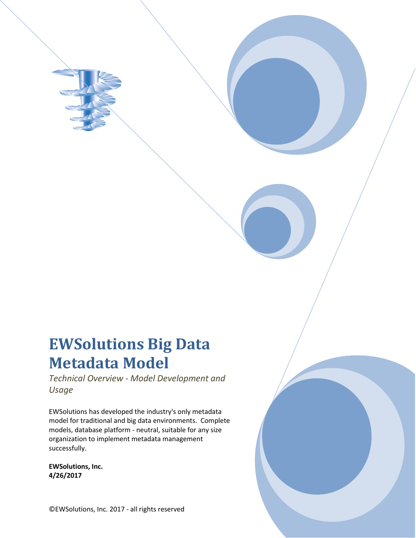# **EWSolutions Big Data Metadata Model**

*Technical Overview - Model Development and Usage*

EWSolutions has developed the industry's only metadata model for traditional and big data environments. Complete models, database platform - neutral, suitable for any size organization to implement metadata management successfully.

**EWSolutions, Inc. 4/26/2017**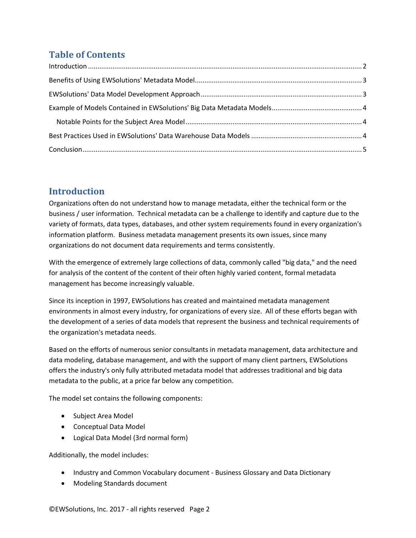# **Table of Contents**

# <span id="page-1-0"></span>**Introduction**

Organizations often do not understand how to manage metadata, either the technical form or the business / user information. Technical metadata can be a challenge to identify and capture due to the variety of formats, data types, databases, and other system requirements found in every organization's information platform. Business metadata management presents its own issues, since many organizations do not document data requirements and terms consistently.

With the emergence of extremely large collections of data, commonly called "big data," and the need for analysis of the content of the content of their often highly varied content, formal metadata management has become increasingly valuable.

Since its inception in 1997, EWSolutions has created and maintained metadata management environments in almost every industry, for organizations of every size. All of these efforts began with the development of a series of data models that represent the business and technical requirements of the organization's metadata needs.

Based on the efforts of numerous senior consultants in metadata management, data architecture and data modeling, database management, and with the support of many client partners, EWSolutions offers the industry's only fully attributed metadata model that addresses traditional and big data metadata to the public, at a price far below any competition.

The model set contains the following components:

- Subject Area Model
- Conceptual Data Model
- Logical Data Model (3rd normal form)

Additionally, the model includes:

- Industry and Common Vocabulary document Business Glossary and Data Dictionary
- Modeling Standards document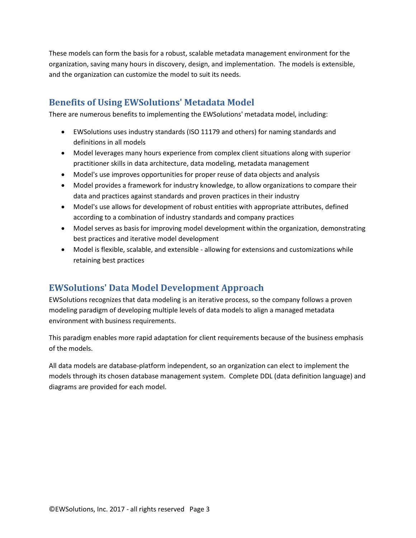These models can form the basis for a robust, scalable metadata management environment for the organization, saving many hours in discovery, design, and implementation. The models is extensible, and the organization can customize the model to suit its needs.

# <span id="page-2-0"></span>**Benefits of Using EWSolutions' Metadata Model**

There are numerous benefits to implementing the EWSolutions' metadata model, including:

- EWSolutions uses industry standards (ISO 11179 and others) for naming standards and definitions in all models
- Model leverages many hours experience from complex client situations along with superior practitioner skills in data architecture, data modeling, metadata management
- Model's use improves opportunities for proper reuse of data objects and analysis
- Model provides a framework for industry knowledge, to allow organizations to compare their data and practices against standards and proven practices in their industry
- Model's use allows for development of robust entities with appropriate attributes, defined according to a combination of industry standards and company practices
- Model serves as basis for improving model development within the organization, demonstrating best practices and iterative model development
- Model is flexible, scalable, and extensible allowing for extensions and customizations while retaining best practices

### <span id="page-2-1"></span>**EWSolutions' Data Model Development Approach**

EWSolutions recognizes that data modeling is an iterative process, so the company follows a proven modeling paradigm of developing multiple levels of data models to align a managed metadata environment with business requirements.

This paradigm enables more rapid adaptation for client requirements because of the business emphasis of the models.

All data models are database-platform independent, so an organization can elect to implement the models through its chosen database management system. Complete DDL (data definition language) and diagrams are provided for each model.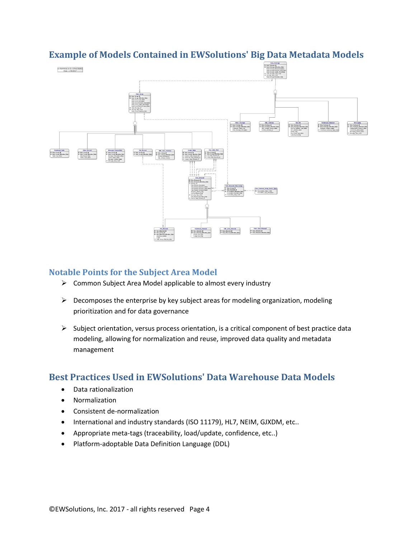

# <span id="page-3-0"></span>**Example of Models Contained in EWSolutions' Big Data Metadata Models**

#### <span id="page-3-1"></span>**Notable Points for the Subject Area Model**

- $\triangleright$  Common Subject Area Model applicable to almost every industry
- $\triangleright$  Decomposes the enterprise by key subject areas for modeling organization, modeling prioritization and for data governance
- $\triangleright$  Subject orientation, versus process orientation, is a critical component of best practice data modeling, allowing for normalization and reuse, improved data quality and metadata management

### <span id="page-3-2"></span>**Best Practices Used in EWSolutions' Data Warehouse Data Models**

- Data rationalization
- Normalization
- Consistent de-normalization
- International and industry standards (ISO 11179), HL7, NEIM, GJXDM, etc..
- Appropriate meta-tags (traceability, load/update, confidence, etc..)
- Platform-adoptable Data Definition Language (DDL)